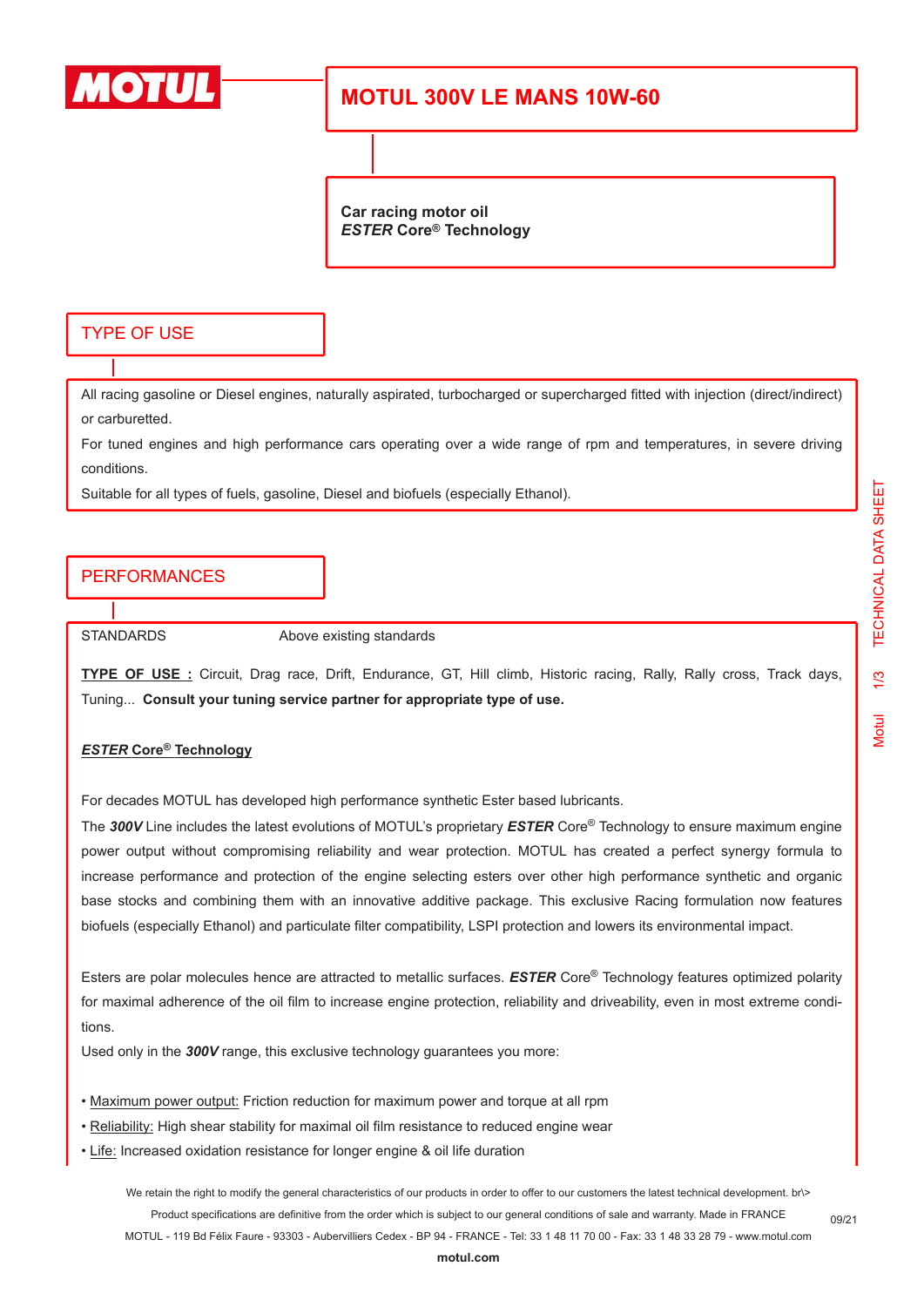

# **MOTUL 300V LE MANS 10W-60**

**Car racing motor oil** *ESTER* **Core® Technology**

### TYPE OF USE

All racing gasoline or Diesel engines, naturally aspirated, turbocharged or supercharged fitted with injection (direct/indirect) or carburetted.

For tuned engines and high performance cars operating over a wide range of rpm and temperatures, in severe driving conditions.

Suitable for all types of fuels, gasoline, Diesel and biofuels (especially Ethanol).

## PERFORMANCES

STANDARDS Above existing standards

**TYPE OF USE :** Circuit, Drag race, Drift, Endurance, GT, Hill climb, Historic racing, Rally, Rally cross, Track days, Tuning... **Consult your tuning service partner for appropriate type of use.**

#### *ESTER* **Core® Technology**

For decades MOTUL has developed high performance synthetic Ester based lubricants.

The *300V* Line includes the latest evolutions of MOTUL's proprietary *ESTER* Core® Technology to ensure maximum engine power output without compromising reliability and wear protection. MOTUL has created a perfect synergy formula to increase performance and protection of the engine selecting esters over other high performance synthetic and organic base stocks and combining them with an innovative additive package. This exclusive Racing formulation now features biofuels (especially Ethanol) and particulate filter compatibility, LSPI protection and lowers its environmental impact.

Esters are polar molecules hence are attracted to metallic surfaces. *ESTER* Core® Technology features optimized polarity for maximal adherence of the oil film to increase engine protection, reliability and driveability, even in most extreme conditions.

Used only in the *300V* range, this exclusive technology guarantees you more:

- Maximum power output: Friction reduction for maximum power and torque at all rpm
- Reliability: High shear stability for maximal oil film resistance to reduced engine wear
- Life: Increased oxidation resistance for longer engine & oil life duration

We retain the right to modify the general characteristics of our products in order to offer to our customers the latest technical development. br\> Product specifications are definitive from the order which is subject to our general conditions of sale and warranty. Made in FRANCE MOTUL - 119 Bd Félix Faure - 93303 - Aubervilliers Cedex - BP 94 - FRANCE - Tel: 33 1 48 11 70 00 - Fax: 33 1 48 33 28 79 - www.motul.com

09/21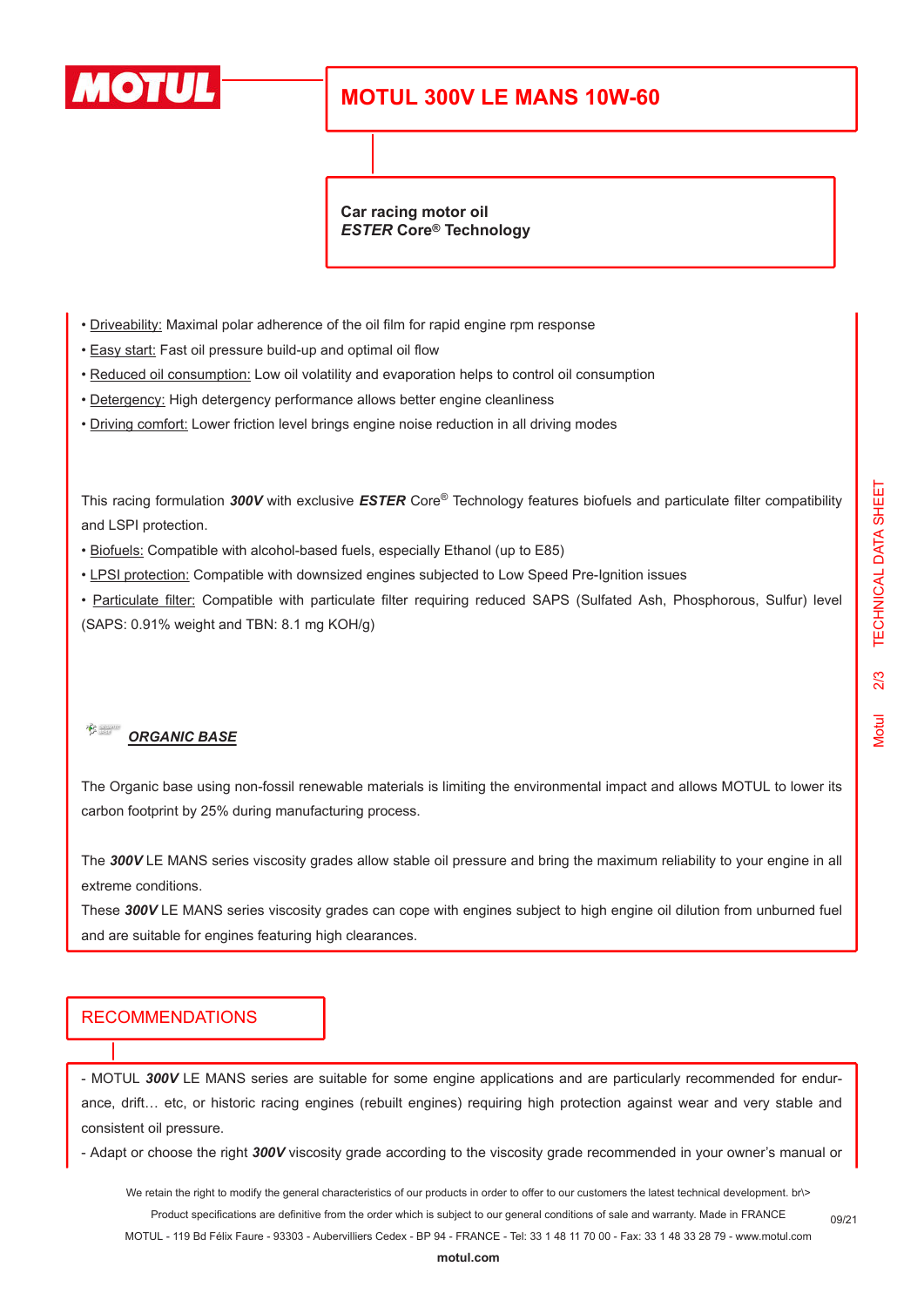

# **MOTUL 300V LE MANS 10W-60**

**Car racing motor oil** *ESTER* **Core® Technology**

- Driveability: Maximal polar adherence of the oil film for rapid engine rpm response
- Easy start: Fast oil pressure build-up and optimal oil flow
- Reduced oil consumption: Low oil volatility and evaporation helps to control oil consumption
- Detergency: High detergency performance allows better engine cleanliness
- Driving comfort: Lower friction level brings engine noise reduction in all driving modes

This racing formulation *300V* with exclusive *ESTER* Core® Technology features biofuels and particulate filter compatibility and LSPI protection.

- Biofuels: Compatible with alcohol-based fuels, especially Ethanol (up to E85)
- LPSI protection: Compatible with downsized engines subjected to Low Speed Pre-Ignition issues

• Particulate filter: Compatible with particulate filter requiring reduced SAPS (Sulfated Ash, Phosphorous, Sulfur) level (SAPS: 0.91% weight and TBN: 8.1 mg KOH/g)

#### $\frac{1}{\sqrt{2}}$ *ORGANIC BASE*

The Organic base using non-fossil renewable materials is limiting the environmental impact and allows MOTUL to lower its carbon footprint by 25% during manufacturing process.

The *300V* LE MANS series viscosity grades allow stable oil pressure and bring the maximum reliability to your engine in all extreme conditions.

These *300V* LE MANS series viscosity grades can cope with engines subject to high engine oil dilution from unburned fuel and are suitable for engines featuring high clearances.

#### RECOMMENDATIONS

- MOTUL *300V* LE MANS series are suitable for some engine applications and are particularly recommended for endurance, drift… etc, or historic racing engines (rebuilt engines) requiring high protection against wear and very stable and consistent oil pressure.

- Adapt or choose the right *300V* viscosity grade according to the viscosity grade recommended in your owner's manual or

We retain the right to modify the general characteristics of our products in order to offer to our customers the latest technical development. br\> Product specifications are definitive from the order which is subject to our general conditions of sale and warranty. Made in FRANCE

MOTUL - 119 Bd Félix Faure - 93303 - Aubervilliers Cedex - BP 94 - FRANCE - Tel: 33 1 48 11 70 00 - Fax: 33 1 48 33 28 79 - www.motul.com

09/21